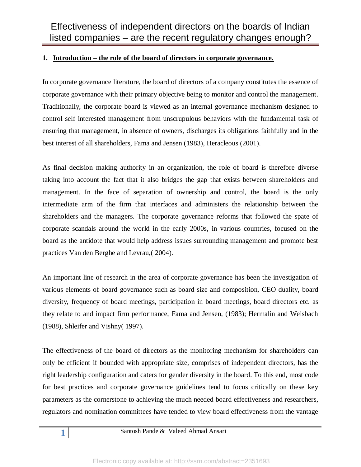#### **1. Introduction – the role of the board of directors in corporate governance.**

In corporate governance literature, the board of directors of a company constitutes the essence of corporate governance with their primary objective being to monitor and control the management. Traditionally, the corporate board is viewed as an internal governance mechanism designed to control self interested management from unscrupulous behaviors with the fundamental task of ensuring that management, in absence of owners, discharges its obligations faithfully and in the best interest of all shareholders, Fama and Jensen (1983), Heracleous (2001).

As final decision making authority in an organization, the role of board is therefore diverse taking into account the fact that it also bridges the gap that exists between shareholders and management. In the face of separation of ownership and control, the board is the only intermediate arm of the firm that interfaces and administers the relationship between the shareholders and the managers. The corporate governance reforms that followed the spate of corporate scandals around the world in the early 2000s, in various countries, focused on the board as the antidote that would help address issues surrounding management and promote best practices Van den Berghe and Levrau,( 2004).

An important line of research in the area of corporate governance has been the investigation of various elements of board governance such as board size and composition, CEO duality, board diversity, frequency of board meetings, participation in board meetings, board directors etc. as they relate to and impact firm performance, Fama and Jensen, (1983); Hermalin and Weisbach (1988), Shleifer and Vishny( 1997).

The effectiveness of the board of directors as the monitoring mechanism for shareholders can only be efficient if bounded with appropriate size, comprises of independent directors, has the right leadership configuration and caters for gender diversity in the board. To this end, most code for best practices and corporate governance guidelines tend to focus critically on these key parameters as the cornerstone to achieving the much needed board effectiveness and researchers, regulators and nomination committees have tended to view board effectiveness from the vantage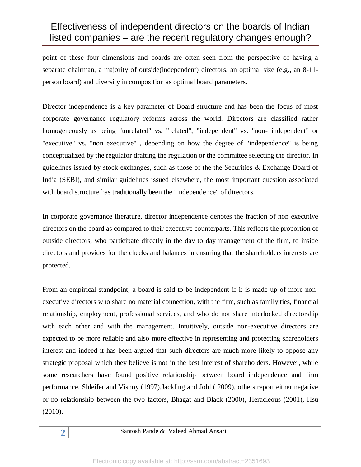point of these four dimensions and boards are often seen from the perspective of having a separate chairman, a majority of outside(independent) directors, an optimal size (e.g., an 8-11 person board) and diversity in composition as optimal board parameters.

Director independence is a key parameter of Board structure and has been the focus of most corporate governance regulatory reforms across the world. Directors are classified rather homogeneously as being "unrelated" vs. "related", "independent" vs. "non- independent" or "executive" vs. "non executive" , depending on how the degree of "independence" is being conceptualized by the regulator drafting the regulation or the committee selecting the director. In guidelines issued by stock exchanges, such as those of the the Securities  $\&$  Exchange Board of India (SEBI), and similar guidelines issued elsewhere, the most important question associated with board structure has traditionally been the "independence" of directors.

In corporate governance literature, director independence denotes the fraction of non executive directors on the board as compared to their executive counterparts. This reflects the proportion of outside directors, who participate directly in the day to day management of the firm, to inside directors and provides for the checks and balances in ensuring that the shareholders interests are protected.

From an empirical standpoint, a board is said to be independent if it is made up of more nonexecutive directors who share no material connection, with the firm, such as family ties, financial relationship, employment, professional services, and who do not share interlocked directorship with each other and with the management. Intuitively, outside non-executive directors are expected to be more reliable and also more effective in representing and protecting shareholders interest and indeed it has been argued that such directors are much more likely to oppose any strategic proposal which they believe is not in the best interest of shareholders. However, while some researchers have found positive relationship between board independence and firm performance, Shleifer and Vishny (1997),Jackling and Johl ( 2009), others report either negative or no relationship between the two factors, Bhagat and Black (2000), Heracleous (2001), Hsu (2010).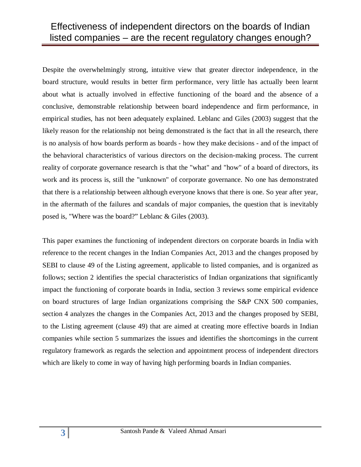Despite the overwhelmingly strong, intuitive view that greater director independence, in the board structure, would results in better firm performance, very little has actually been learnt about what is actually involved in effective functioning of the board and the absence of a conclusive, demonstrable relationship between board independence and firm performance, in empirical studies, has not been adequately explained. Leblanc and Giles (2003) suggest that the likely reason for the relationship not being demonstrated is the fact that in all the research, there is no analysis of how boards perform as boards - how they make decisions - and of the impact of the behavioral characteristics of various directors on the decision-making process. The current reality of corporate governance research is that the "what" and "how" of a board of directors, its work and its process is, still the "unknown" of corporate governance. No one has demonstrated that there is a relationship between although everyone knows that there is one. So year after year, in the aftermath of the failures and scandals of major companies, the question that is inevitably posed is, "Where was the board?" Leblanc & Giles (2003).

This paper examines the functioning of independent directors on corporate boards in India with reference to the recent changes in the Indian Companies Act, 2013 and the changes proposed by SEBI to clause 49 of the Listing agreement, applicable to listed companies, and is organized as follows; section 2 identifies the special characteristics of Indian organizations that significantly impact the functioning of corporate boards in India, section 3 reviews some empirical evidence on board structures of large Indian organizations comprising the S&P CNX 500 companies, section 4 analyzes the changes in the Companies Act, 2013 and the changes proposed by SEBI, to the Listing agreement (clause 49) that are aimed at creating more effective boards in Indian companies while section 5 summarizes the issues and identifies the shortcomings in the current regulatory framework as regards the selection and appointment process of independent directors which are likely to come in way of having high performing boards in Indian companies.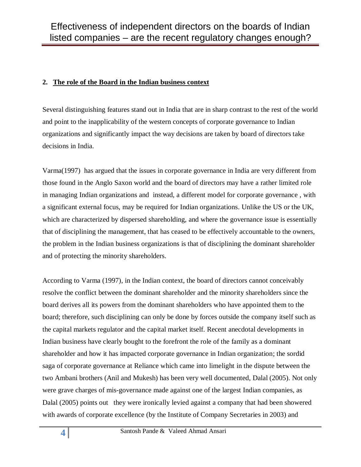### **2. The role of the Board in the Indian business context**

Several distinguishing features stand out in India that are in sharp contrast to the rest of the world and point to the inapplicability of the western concepts of corporate governance to Indian organizations and significantly impact the way decisions are taken by board of directors take decisions in India.

Varma(1997) has argued that the issues in corporate governance in India are very different from those found in the Anglo Saxon world and the board of directors may have a rather limited role in managing Indian organizations and instead, a different model for corporate governance , with a significant external focus, may be required for Indian organizations. Unlike the US or the UK, which are characterized by dispersed shareholding, and where the governance issue is essentially that of disciplining the management, that has ceased to be effectively accountable to the owners, the problem in the Indian business organizations is that of disciplining the dominant shareholder and of protecting the minority shareholders.

According to Varma (1997), in the Indian context, the board of directors cannot conceivably resolve the conflict between the dominant shareholder and the minority shareholders since the board derives all its powers from the dominant shareholders who have appointed them to the board; therefore, such disciplining can only be done by forces outside the company itself such as the capital markets regulator and the capital market itself. Recent anecdotal developments in Indian business have clearly bought to the forefront the role of the family as a dominant shareholder and how it has impacted corporate governance in Indian organization; the sordid saga of corporate governance at Reliance which came into limelight in the dispute between the two Ambani brothers (Anil and Mukesh) has been very well documented, Dalal (2005). Not only were grave charges of mis-governance made against one of the largest Indian companies, as Dalal (2005) points out they were ironically levied against a company that had been showered with awards of corporate excellence (by the Institute of Company Secretaries in 2003) and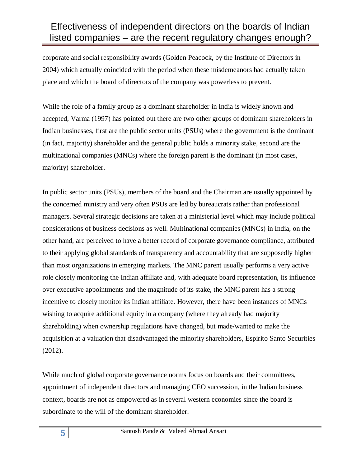corporate and social responsibility awards (Golden Peacock, by the Institute of Directors in 2004) which actually coincided with the period when these misdemeanors had actually taken place and which the board of directors of the company was powerless to prevent.

While the role of a family group as a dominant shareholder in India is widely known and accepted, Varma (1997) has pointed out there are two other groups of dominant shareholders in Indian businesses, first are the public sector units (PSUs) where the government is the dominant (in fact, majority) shareholder and the general public holds a minority stake, second are the multinational companies (MNCs) where the foreign parent is the dominant (in most cases, majority) shareholder.

In public sector units (PSUs), members of the board and the Chairman are usually appointed by the concerned ministry and very often PSUs are led by bureaucrats rather than professional managers. Several strategic decisions are taken at a ministerial level which may include political considerations of business decisions as well. Multinational companies (MNCs) in India, on the other hand, are perceived to have a better record of corporate governance compliance, attributed to their applying global standards of transparency and accountability that are supposedly higher than most organizations in emerging markets. The MNC parent usually performs a very active role closely monitoring the Indian affiliate and, with adequate board representation, its influence over executive appointments and the magnitude of its stake, the MNC parent has a strong incentive to closely monitor its Indian affiliate. However, there have been instances of MNCs wishing to acquire additional equity in a company (where they already had majority shareholding) when ownership regulations have changed, but made/wanted to make the acquisition at a valuation that disadvantaged the minority shareholders, Espirito Santo Securities (2012).

While much of global corporate governance norms focus on boards and their committees, appointment of independent directors and managing CEO succession, in the Indian business context, boards are not as empowered as in several western economies since the board is subordinate to the will of the dominant shareholder.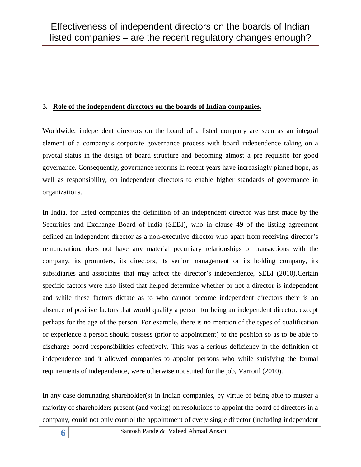### **3. Role of the independent directors on the boards of Indian companies.**

Worldwide, independent directors on the board of a listed company are seen as an integral element of a company's corporate governance process with board independence taking on a pivotal status in the design of board structure and becoming almost a pre requisite for good governance. Consequently, governance reforms in recent years have increasingly pinned hope, as well as responsibility, on independent directors to enable higher standards of governance in organizations.

In India, for listed companies the definition of an independent director was first made by the Securities and Exchange Board of India (SEBI), who in clause 49 of the listing agreement defined an independent director as a non-executive director who apart from receiving director's remuneration, does not have any material pecuniary relationships or transactions with the company, its promoters, its directors, its senior management or its holding company, its subsidiaries and associates that may affect the director's independence, SEBI (2010).Certain specific factors were also listed that helped determine whether or not a director is independent and while these factors dictate as to who cannot become independent directors there is an absence of positive factors that would qualify a person for being an independent director, except perhaps for the age of the person. For example, there is no mention of the types of qualification or experience a person should possess (prior to appointment) to the position so as to be able to discharge board responsibilities effectively. This was a serious deficiency in the definition of independence and it allowed companies to appoint persons who while satisfying the formal requirements of independence, were otherwise not suited for the job, Varrotil (2010).

In any case dominating shareholder(s) in Indian companies, by virtue of being able to muster a majority of shareholders present (and voting) on resolutions to appoint the board of directors in a company, could not only control the appointment of every single director (including independent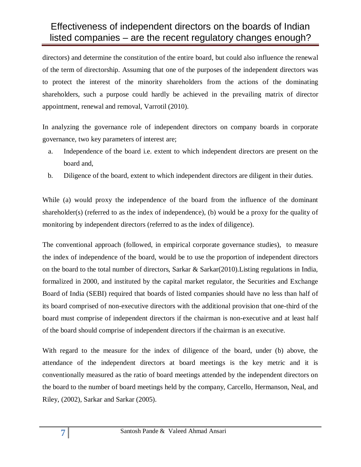directors) and determine the constitution of the entire board, but could also influence the renewal of the term of directorship. Assuming that one of the purposes of the independent directors was to protect the interest of the minority shareholders from the actions of the dominating shareholders, such a purpose could hardly be achieved in the prevailing matrix of director appointment, renewal and removal, Varrotil (2010).

In analyzing the governance role of independent directors on company boards in corporate governance, two key parameters of interest are;

- a. Independence of the board i.e. extent to which independent directors are present on the board and,
- b. Diligence of the board, extent to which independent directors are diligent in their duties.

While (a) would proxy the independence of the board from the influence of the dominant shareholder(s) (referred to as the index of independence), (b) would be a proxy for the quality of monitoring by independent directors (referred to as the index of diligence).

The conventional approach (followed, in empirical corporate governance studies), to measure the index of independence of the board, would be to use the proportion of independent directors on the board to the total number of directors, Sarkar & Sarkar(2010).Listing regulations in India, formalized in 2000, and instituted by the capital market regulator, the Securities and Exchange Board of India (SEBI) required that boards of listed companies should have no less than half of its board comprised of non-executive directors with the additional provision that one-third of the board must comprise of independent directors if the chairman is non-executive and at least half of the board should comprise of independent directors if the chairman is an executive.

With regard to the measure for the index of diligence of the board, under (b) above, the attendance of the independent directors at board meetings is the key metric and it is conventionally measured as the ratio of board meetings attended by the independent directors on the board to the number of board meetings held by the company, Carcello, Hermanson, Neal, and Riley, (2002), Sarkar and Sarkar (2005).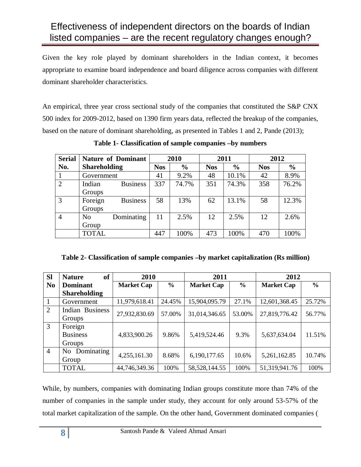Given the key role played by dominant shareholders in the Indian context, it becomes appropriate to examine board independence and board diligence across companies with different dominant shareholder characteristics.

An empirical, three year cross sectional study of the companies that constituted the S&P CNX 500 index for 2009-2012, based on 1390 firm years data, reflected the breakup of the companies, based on the nature of dominant shareholding, as presented in Tables 1 and 2, Pande (2013);

| <b>Serial</b> | <b>Nature of Dominant</b> |                 | 2010       |               | 2011       |               | 2012       |               |
|---------------|---------------------------|-----------------|------------|---------------|------------|---------------|------------|---------------|
| No.           | <b>Shareholding</b>       |                 | <b>Nos</b> | $\frac{6}{6}$ | <b>Nos</b> | $\frac{6}{9}$ | <b>Nos</b> | $\frac{6}{6}$ |
|               | Government                |                 | 41         | 9.2%          | 48         | 10.1%         | 42         | 8.9%          |
| 2             | Indian                    | <b>Business</b> | 337        | 74.7%         | 351        | 74.3%         | 358        | 76.2%         |
|               | Groups                    |                 |            |               |            |               |            |               |
| 3             | Foreign                   | <b>Business</b> | 58         | 13%           | 62         | 13.1%         | 58         | 12.3%         |
|               | Groups                    |                 |            |               |            |               |            |               |
| 4             | No                        | Dominating      | 11         | 2.5%          | 12         | 2.5%          | 12         | 2.6%          |
|               | Group                     |                 |            |               |            |               |            |               |
|               | <b>TOTAL</b>              |                 | 447        | 100%          | 473        | 100%          | 470        | 100%          |

**Table 1- Classification of sample companies –by numbers**

|  |  |  |  |  | Table 2- Classification of sample companies -by market capitalization (Rs million) |  |
|--|--|--|--|--|------------------------------------------------------------------------------------|--|
|--|--|--|--|--|------------------------------------------------------------------------------------|--|

| <b>Sl</b>      | <b>of</b><br><b>Nature</b> | 2010              |               | 2011              |               | 2012              |               |  |
|----------------|----------------------------|-------------------|---------------|-------------------|---------------|-------------------|---------------|--|
| N <sub>0</sub> | <b>Dominant</b>            | <b>Market Cap</b> | $\frac{6}{6}$ | <b>Market Cap</b> | $\frac{0}{0}$ | <b>Market Cap</b> | $\frac{6}{6}$ |  |
|                | <b>Shareholding</b>        |                   |               |                   |               |                   |               |  |
| 1              | Government                 | 11,979,618.41     | 24.45%        | 15,904,095.79     | 27.1%         | 12,601,368.45     | 25.72%        |  |
| 2              | Indian Business            | 27,932,830.69     | 57.00%        | 31,014,346.65     | 53.00%        | 27,819,776.42     | 56.77%        |  |
|                | Groups                     |                   |               |                   |               |                   |               |  |
| $\overline{3}$ | Foreign                    |                   |               |                   |               |                   |               |  |
|                | <b>Business</b>            | 4,833,900.26      | 9.86%         | 5,419,524.46      | 9.3%          | 5,637,634.04      | 11.51%        |  |
|                | Groups                     |                   |               |                   |               |                   |               |  |
| $\overline{4}$ | No Dominating              | 4,255,161.30      | 8.68%         | 6,190,177.65      | 10.6%         | 5,261,162.85      | 10.74%        |  |
|                | Group                      |                   |               |                   |               |                   |               |  |
|                | <b>TOTAL</b>               | 44,746,349.36     | 100%          | 58, 528, 144. 55  | 100%          | 51,319,941.76     | 100%          |  |

While, by numbers, companies with dominating Indian groups constitute more than 74% of the number of companies in the sample under study, they account for only around 53-57% of the total market capitalization of the sample. On the other hand, Government dominated companies (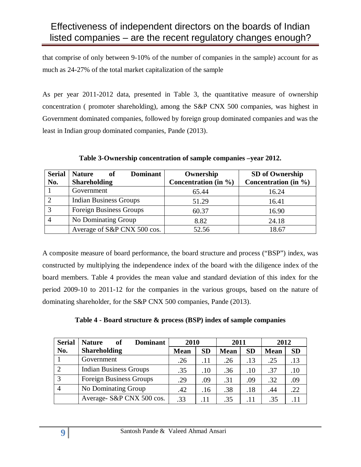that comprise of only between 9-10% of the number of companies in the sample) account for as much as 24-27% of the total market capitalization of the sample

As per year 2011-2012 data, presented in Table 3, the quantitative measure of ownership concentration ( promoter shareholding), among the S&P CNX 500 companies, was highest in Government dominated companies, followed by foreign group dominated companies and was the least in Indian group dominated companies, Pande (2013).

| <b>Serial</b> | Dominant<br><b>Nature</b><br>of | Ownership            | <b>SD</b> of Ownership |  |  |
|---------------|---------------------------------|----------------------|------------------------|--|--|
| No.           | <b>Shareholding</b>             | Concentration (in %) | Concentration (in %)   |  |  |
|               | Government                      | 65.44                | 16.24                  |  |  |
|               | <b>Indian Business Groups</b>   | 51.29                | 16.41                  |  |  |
|               | <b>Foreign Business Groups</b>  | 60.37                | 16.90                  |  |  |
|               | No Dominating Group             | 8.82                 | 24.18                  |  |  |
|               | Average of S&P CNX 500 cos.     | 52.56                | 18.67                  |  |  |

**Table 3-Ownership concentration of sample companies –year 2012.**

A composite measure of board performance, the board structure and process ("BSP") index, was constructed by multiplying the independence index of the board with the diligence index of the board members. Table 4 provides the mean value and standard deviation of this index for the period 2009-10 to 2011-12 for the companies in the various groups, based on the nature of dominating shareholder, for the S&P CNX 500 companies, Pande (2013).

|  |  |  |  |  |  |  | Table 4 - Board structure & process (BSP) index of sample companies |
|--|--|--|--|--|--|--|---------------------------------------------------------------------|
|--|--|--|--|--|--|--|---------------------------------------------------------------------|

| <b>Serial</b> | <b>Dominant</b><br><b>Nature</b><br>of | 2010        |           | 2011        |           | 2012        |           |
|---------------|----------------------------------------|-------------|-----------|-------------|-----------|-------------|-----------|
| No.           | <b>Shareholding</b>                    | <b>Mean</b> | <b>SD</b> | <b>Mean</b> | <b>SD</b> | <b>Mean</b> | <b>SD</b> |
|               | Government                             | .26         | .11       | .26         | .13       | .25         | .13       |
| 2             | <b>Indian Business Groups</b>          | .35         | .10       | .36         | .10       | .37         | .10       |
|               | <b>Foreign Business Groups</b>         | .29         | .09       | .31         | .09       | .32         | .09       |
|               | No Dominating Group                    | .42         | .16       | .38         | .18       | .44         | .22       |
|               | Average- S&P CNX 500 cos.              | .33         | .11       | .35         | .11       | .35         | 11        |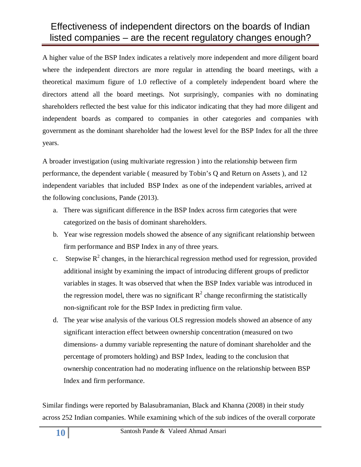A higher value of the BSP Index indicates a relatively more independent and more diligent board where the independent directors are more regular in attending the board meetings, with a theoretical maximum figure of 1.0 reflective of a completely independent board where the directors attend all the board meetings. Not surprisingly, companies with no dominating shareholders reflected the best value for this indicator indicating that they had more diligent and independent boards as compared to companies in other categories and companies with government as the dominant shareholder had the lowest level for the BSP Index for all the three years.

A broader investigation (using multivariate regression ) into the relationship between firm performance, the dependent variable ( measured by Tobin's Q and Return on Assets ), and 12 independent variables that included BSP Index as one of the independent variables, arrived at the following conclusions, Pande (2013).

- a. There was significant difference in the BSP Index across firm categories that were categorized on the basis of dominant shareholders.
- b. Year wise regression models showed the absence of any significant relationship between firm performance and BSP Index in any of three years.
- c. Stepwise  $R^2$  changes, in the hierarchical regression method used for regression, provided additional insight by examining the impact of introducing different groups of predictor variables in stages. It was observed that when the BSP Index variable was introduced in the regression model, there was no significant  $R^2$  change reconfirming the statistically non-significant role for the BSP Index in predicting firm value.
- d. The year wise analysis of the various OLS regression models showed an absence of any significant interaction effect between ownership concentration (measured on two dimensions- a dummy variable representing the nature of dominant shareholder and the percentage of promoters holding) and BSP Index, leading to the conclusion that ownership concentration had no moderating influence on the relationship between BSP Index and firm performance.

Similar findings were reported by Balasubramanian, Black and Khanna (2008) in their study across 252 Indian companies. While examining which of the sub indices of the overall corporate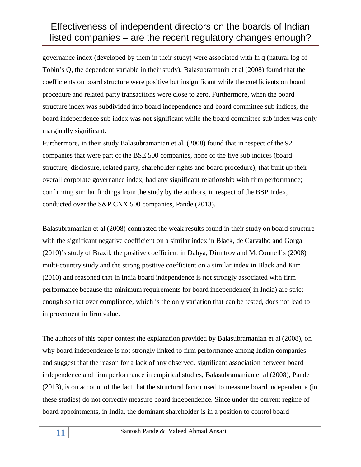governance index (developed by them in their study) were associated with ln q (natural log of Tobin's Q, the dependent variable in their study), Balasubramanin et al (2008) found that the coefficients on board structure were positive but insignificant while the coefficients on board procedure and related party transactions were close to zero. Furthermore, when the board structure index was subdivided into board independence and board committee sub indices, the board independence sub index was not significant while the board committee sub index was only marginally significant.

Furthermore, in their study Balasubramanian et al. (2008) found that in respect of the 92 companies that were part of the BSE 500 companies, none of the five sub indices (board structure, disclosure, related party, shareholder rights and board procedure), that built up their overall corporate governance index, had any significant relationship with firm performance; confirming similar findings from the study by the authors, in respect of the BSP Index, conducted over the S&P CNX 500 companies, Pande (2013).

Balasubramanian et al (2008) contrasted the weak results found in their study on board structure with the significant negative coefficient on a similar index in Black, de Carvalho and Gorga (2010)'s study of Brazil, the positive coefficient in Dahya, Dimitrov and McConnell's (2008) multi-country study and the strong positive coefficient on a similar index in Black and Kim (2010) and reasoned that in India board independence is not strongly associated with firm performance because the minimum requirements for board independence( in India) are strict enough so that over compliance, which is the only variation that can be tested, does not lead to improvement in firm value.

The authors of this paper contest the explanation provided by Balasubramanian et al (2008), on why board independence is not strongly linked to firm performance among Indian companies and suggest that the reason for a lack of any observed, significant association between board independence and firm performance in empirical studies, Balasubramanian et al (2008), Pande (2013), is on account of the fact that the structural factor used to measure board independence (in these studies) do not correctly measure board independence. Since under the current regime of board appointments, in India, the dominant shareholder is in a position to control board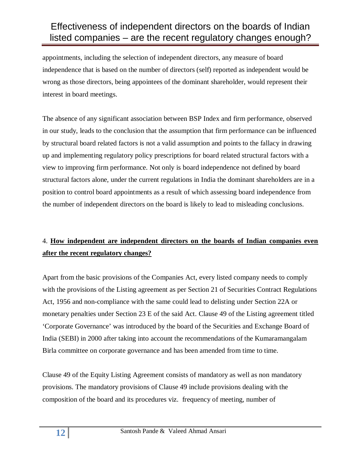appointments, including the selection of independent directors, any measure of board independence that is based on the number of directors (self) reported as independent would be wrong as those directors, being appointees of the dominant shareholder, would represent their interest in board meetings.

The absence of any significant association between BSP Index and firm performance, observed in our study, leads to the conclusion that the assumption that firm performance can be influenced by structural board related factors is not a valid assumption and points to the fallacy in drawing up and implementing regulatory policy prescriptions for board related structural factors with a view to improving firm performance. Not only is board independence not defined by board structural factors alone, under the current regulations in India the dominant shareholders are in a position to control board appointments as a result of which assessing board independence from the number of independent directors on the board is likely to lead to misleading conclusions.

### 4. **How independent are independent directors on the boards of Indian companies even after the recent regulatory changes?**

Apart from the basic provisions of the Companies Act, every listed company needs to comply with the provisions of the Listing agreement as per Section 21 of Securities Contract Regulations Act, 1956 and non-compliance with the same could lead to delisting under Section 22A or monetary penalties under Section 23 E of the said Act. Clause 49 of the Listing agreement titled 'Corporate Governance' was introduced by the board of the Securities and Exchange Board of India (SEBI) in 2000 after taking into account the recommendations of the Kumaramangalam Birla committee on corporate governance and has been amended from time to time.

Clause 49 of the Equity Listing Agreement consists of mandatory as well as non mandatory provisions. The mandatory provisions of Clause 49 include provisions dealing with the composition of the board and its procedures viz. frequency of meeting, number of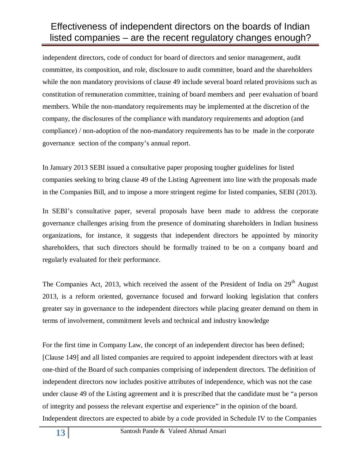independent directors, code of conduct for board of directors and senior management, audit committee, its composition, and role, disclosure to audit committee, board and the shareholders while the non mandatory provisions of clause 49 include several board related provisions such as constitution of remuneration committee, training of board members and peer evaluation of board members. While the non-mandatory requirements may be implemented at the discretion of the company, the disclosures of the compliance with mandatory requirements and adoption (and compliance) / non-adoption of the non-mandatory requirements has to be made in the corporate governance section of the company's annual report.

In January 2013 SEBI issued a consultative paper proposing tougher guidelines for listed companies seeking to bring clause 49 of the Listing Agreement into line with the proposals made in the Companies Bill, and to impose a more stringent regime for listed companies, SEBI (2013).

In SEBI's consultative paper, several proposals have been made to address the corporate governance challenges arising from the presence of dominating shareholders in Indian business organizations, for instance, it suggests that independent directors be appointed by minority shareholders, that such directors should be formally trained to be on a company board and regularly evaluated for their performance.

The Companies Act, 2013, which received the assent of the President of India on  $29<sup>th</sup>$  August 2013, is a reform oriented, governance focused and forward looking legislation that confers greater say in governance to the independent directors while placing greater demand on them in terms of involvement, commitment levels and technical and industry knowledge

For the first time in Company Law, the concept of an independent director has been defined; [Clause 149] and all listed companies are required to appoint independent directors with at least one-third of the Board of such companies comprising of independent directors. The definition of independent directors now includes positive attributes of independence, which was not the case under clause 49 of the Listing agreement and it is prescribed that the candidate must be "a person of integrity and possess the relevant expertise and experience" in the opinion of the board. Independent directors are expected to abide by a code provided in Schedule IV to the Companies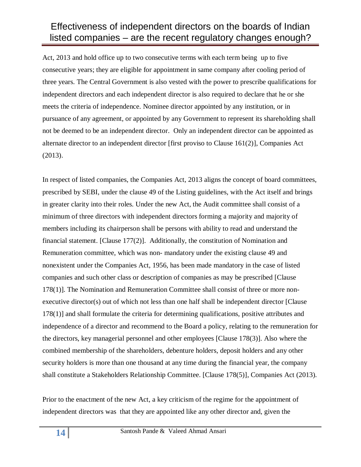Act, 2013 and hold office up to two consecutive terms with each term being up to five consecutive years; they are eligible for appointment in same company after cooling period of three years. The Central Government is also vested with the power to prescribe qualifications for independent directors and each independent director is also required to declare that he or she meets the criteria of independence. Nominee director appointed by any institution, or in pursuance of any agreement, or appointed by any Government to represent its shareholding shall not be deemed to be an independent director. Only an independent director can be appointed as alternate director to an independent director [first proviso to Clause 161(2)], Companies Act (2013).

In respect of listed companies, the Companies Act, 2013 aligns the concept of board committees, prescribed by SEBI, under the clause 49 of the Listing guidelines, with the Act itself and brings in greater clarity into their roles. Under the new Act, the Audit committee shall consist of a minimum of three directors with independent directors forming a majority and majority of members including its chairperson shall be persons with ability to read and understand the financial statement. [Clause 177(2)]. Additionally, the constitution of Nomination and Remuneration committee, which was non- mandatory under the existing clause 49 and nonexistent under the Companies Act, 1956, has been made mandatory in the case of listed companies and such other class or description of companies as may be prescribed [Clause 178(1)]. The Nomination and Remuneration Committee shall consist of three or more nonexecutive director(s) out of which not less than one half shall be independent director [Clause 178(1)] and shall formulate the criteria for determining qualifications, positive attributes and independence of a director and recommend to the Board a policy, relating to the remuneration for the directors, key managerial personnel and other employees [Clause 178(3)]. Also where the combined membership of the shareholders, debenture holders, deposit holders and any other security holders is more than one thousand at any time during the financial year, the company shall constitute a Stakeholders Relationship Committee. [Clause 178(5)], Companies Act (2013).

Prior to the enactment of the new Act, a key criticism of the regime for the appointment of independent directors was that they are appointed like any other director and, given the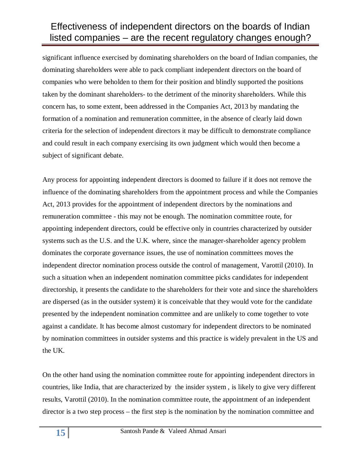significant influence exercised by dominating shareholders on the board of Indian companies, the dominating shareholders were able to pack compliant independent directors on the board of companies who were beholden to them for their position and blindly supported the positions taken by the dominant shareholders- to the detriment of the minority shareholders. While this concern has, to some extent, been addressed in the Companies Act, 2013 by mandating the formation of a nomination and remuneration committee, in the absence of clearly laid down criteria for the selection of independent directors it may be difficult to demonstrate compliance and could result in each company exercising its own judgment which would then become a subject of significant debate.

Any process for appointing independent directors is doomed to failure if it does not remove the influence of the dominating shareholders from the appointment process and while the Companies Act, 2013 provides for the appointment of independent directors by the nominations and remuneration committee - this may not be enough. The nomination committee route, for appointing independent directors, could be effective only in countries characterized by outsider systems such as the U.S. and the U.K. where, since the manager-shareholder agency problem dominates the corporate governance issues, the use of nomination committees moves the independent director nomination process outside the control of management, Varottil (2010). In such a situation when an independent nomination committee picks candidates for independent directorship, it presents the candidate to the shareholders for their vote and since the shareholders are dispersed (as in the outsider system) it is conceivable that they would vote for the candidate presented by the independent nomination committee and are unlikely to come together to vote against a candidate. It has become almost customary for independent directors to be nominated by nomination committees in outsider systems and this practice is widely prevalent in the US and the UK.

On the other hand using the nomination committee route for appointing independent directors in countries, like India, that are characterized by the insider system , is likely to give very different results, Varottil (2010). In the nomination committee route, the appointment of an independent director is a two step process – the first step is the nomination by the nomination committee and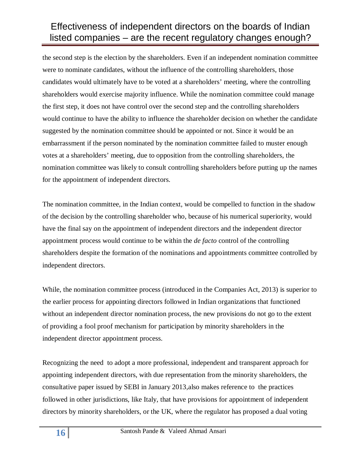the second step is the election by the shareholders. Even if an independent nomination committee were to nominate candidates, without the influence of the controlling shareholders, those candidates would ultimately have to be voted at a shareholders' meeting, where the controlling shareholders would exercise majority influence. While the nomination committee could manage the first step, it does not have control over the second step and the controlling shareholders would continue to have the ability to influence the shareholder decision on whether the candidate suggested by the nomination committee should be appointed or not. Since it would be an embarrassment if the person nominated by the nomination committee failed to muster enough votes at a shareholders' meeting, due to opposition from the controlling shareholders, the nomination committee was likely to consult controlling shareholders before putting up the names for the appointment of independent directors.

The nomination committee, in the Indian context, would be compelled to function in the shadow of the decision by the controlling shareholder who, because of his numerical superiority, would have the final say on the appointment of independent directors and the independent director appointment process would continue to be within the *de facto* control of the controlling shareholders despite the formation of the nominations and appointments committee controlled by independent directors.

While, the nomination committee process (introduced in the Companies Act, 2013) is superior to the earlier process for appointing directors followed in Indian organizations that functioned without an independent director nomination process, the new provisions do not go to the extent of providing a fool proof mechanism for participation by minority shareholders in the independent director appointment process.

Recognizing the need to adopt a more professional, independent and transparent approach for appointing independent directors, with due representation from the minority shareholders, the consultative paper issued by SEBI in January 2013,also makes reference to the practices followed in other jurisdictions, like Italy, that have provisions for appointment of independent directors by minority shareholders, or the UK, where the regulator has proposed a dual voting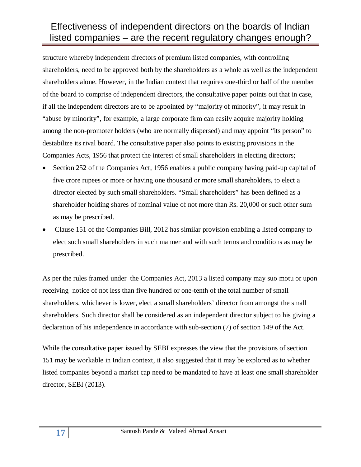structure whereby independent directors of premium listed companies, with controlling shareholders, need to be approved both by the shareholders as a whole as well as the independent shareholders alone. However, in the Indian context that requires one-third or half of the member of the board to comprise of independent directors, the consultative paper points out that in case, if all the independent directors are to be appointed by "majority of minority", it may result in "abuse by minority", for example, a large corporate firm can easily acquire majority holding among the non-promoter holders (who are normally dispersed) and may appoint "its person" to destabilize its rival board. The consultative paper also points to existing provisions in the Companies Acts, 1956 that protect the interest of small shareholders in electing directors;

- Section 252 of the Companies Act, 1956 enables a public company having paid-up capital of five crore rupees or more or having one thousand or more small shareholders, to elect a director elected by such small shareholders. "Small shareholders" has been defined as a shareholder holding shares of nominal value of not more than Rs. 20,000 or such other sum as may be prescribed.
- Clause 151 of the Companies Bill, 2012 has similar provision enabling a listed company to elect such small shareholders in such manner and with such terms and conditions as may be prescribed.

As per the rules framed under the Companies Act, 2013 a listed company may suo motu or upon receiving notice of not less than five hundred or one-tenth of the total number of small shareholders, whichever is lower, elect a small shareholders' director from amongst the small shareholders. Such director shall be considered as an independent director subject to his giving a declaration of his independence in accordance with sub-section (7) of section 149 of the Act.

While the consultative paper issued by SEBI expresses the view that the provisions of section 151 may be workable in Indian context, it also suggested that it may be explored as to whether listed companies beyond a market cap need to be mandated to have at least one small shareholder director, SEBI (2013).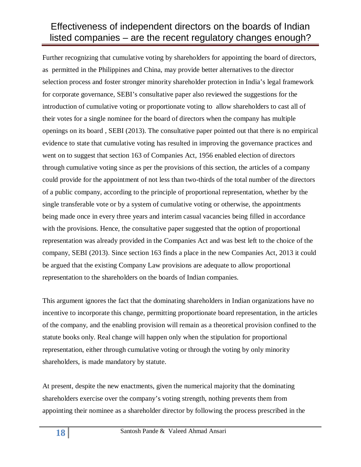Further recognizing that cumulative voting by shareholders for appointing the board of directors, as permitted in the Philippines and China, may provide better alternatives to the director selection process and foster stronger minority shareholder protection in India's legal framework for corporate governance, SEBI's consultative paper also reviewed the suggestions for the introduction of cumulative voting or proportionate voting to allow shareholders to cast all of their votes for a single nominee for the board of directors when the company has multiple openings on its board , SEBI (2013). The consultative paper pointed out that there is no empirical evidence to state that cumulative voting has resulted in improving the governance practices and went on to suggest that section 163 of Companies Act, 1956 enabled election of directors through cumulative voting since as per the provisions of this section, the articles of a company could provide for the appointment of not less than two-thirds of the total number of the directors of a public company, according to the principle of proportional representation, whether by the single transferable vote or by a system of cumulative voting or otherwise, the appointments being made once in every three years and interim casual vacancies being filled in accordance with the provisions. Hence, the consultative paper suggested that the option of proportional representation was already provided in the Companies Act and was best left to the choice of the company, SEBI (2013). Since section 163 finds a place in the new Companies Act, 2013 it could be argued that the existing Company Law provisions are adequate to allow proportional representation to the shareholders on the boards of Indian companies.

This argument ignores the fact that the dominating shareholders in Indian organizations have no incentive to incorporate this change, permitting proportionate board representation, in the articles of the company, and the enabling provision will remain as a theoretical provision confined to the statute books only. Real change will happen only when the stipulation for proportional representation, either through cumulative voting or through the voting by only minority shareholders, is made mandatory by statute.

At present, despite the new enactments, given the numerical majority that the dominating shareholders exercise over the company's voting strength, nothing prevents them from appointing their nominee as a shareholder director by following the process prescribed in the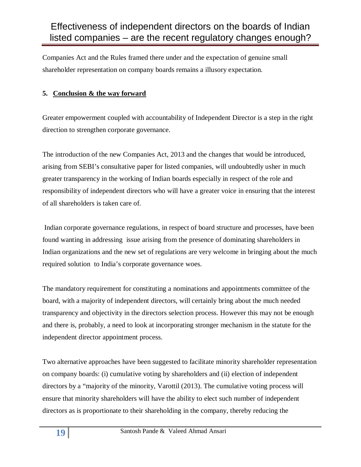Companies Act and the Rules framed there under and the expectation of genuine small shareholder representation on company boards remains a illusory expectation.

### **5. Conclusion & the way forward**

Greater empowerment coupled with accountability of Independent Director is a step in the right direction to strengthen corporate governance.

The introduction of the new Companies Act, 2013 and the changes that would be introduced, arising from SEBI's consultative paper for listed companies, will undoubtedly usher in much greater transparency in the working of Indian boards especially in respect of the role and responsibility of independent directors who will have a greater voice in ensuring that the interest of all shareholders is taken care of.

Indian corporate governance regulations, in respect of board structure and processes, have been found wanting in addressing issue arising from the presence of dominating shareholders in Indian organizations and the new set of regulations are very welcome in bringing about the much required solution to India's corporate governance woes.

The mandatory requirement for constituting a nominations and appointments committee of the board, with a majority of independent directors, will certainly bring about the much needed transparency and objectivity in the directors selection process. However this may not be enough and there is, probably, a need to look at incorporating stronger mechanism in the statute for the independent director appointment process.

Two alternative approaches have been suggested to facilitate minority shareholder representation on company boards: (i) cumulative voting by shareholders and (ii) election of independent directors by a "majority of the minority, Varottil (2013). The cumulative voting process will ensure that minority shareholders will have the ability to elect such number of independent directors as is proportionate to their shareholding in the company, thereby reducing the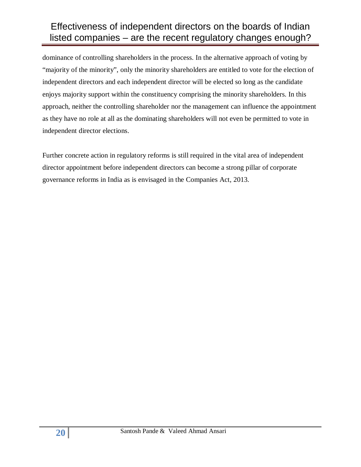dominance of controlling shareholders in the process. In the alternative approach of voting by "majority of the minority", only the minority shareholders are entitled to vote for the election of independent directors and each independent director will be elected so long as the candidate enjoys majority support within the constituency comprising the minority shareholders. In this approach, neither the controlling shareholder nor the management can influence the appointment as they have no role at all as the dominating shareholders will not even be permitted to vote in independent director elections.

Further concrete action in regulatory reforms is still required in the vital area of independent director appointment before independent directors can become a strong pillar of corporate governance reforms in India as is envisaged in the Companies Act, 2013.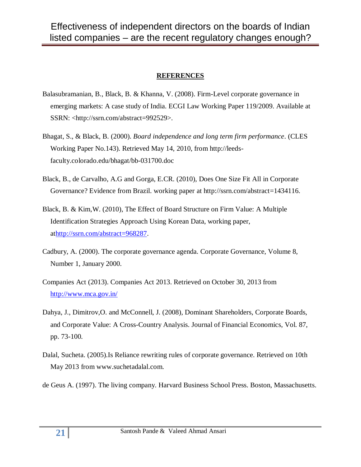#### **REFERENCES**

- Balasubramanian, B., Black, B. & Khanna, V. (2008). Firm-Level corporate governance in emerging markets: A case study of India. ECGI Law Working Paper 119/2009. Available at SSRN: <http://ssrn.com/abstract=992529>.
- Bhagat, S., & Black, B. (2000). *Board independence and long term firm performance*. (CLES Working Paper No.143). Retrieved May 14, 2010, from http://leedsfaculty.colorado.edu/bhagat/bb-031700.doc
- Black, B., de Carvalho, A.G and Gorga, E.CR. (2010), Does One Size Fit All in Corporate Governance? Evidence from Brazil. working paper at http://ssrn.com/abstract=1434116.
- Black, B. & Kim,W. (2010), The Effect of Board Structure on Firm Value: A Multiple Identification Strategies Approach Using Korean Data, working paper, athttp://ssrn.com/abstract=968287.
- Cadbury, A. (2000). The corporate governance agenda. Corporate Governance, Volume 8, Number 1, January 2000.
- Companies Act (2013). Companies Act 2013. Retrieved on October 30, 2013 from http://www.mca.gov.in/
- Dahya, J., Dimitrov,O. and McConnell, J. (2008), Dominant Shareholders, Corporate Boards, and Corporate Value: A Cross-Country Analysis. Journal of Financial Economics, Vol. 87, pp. 73-100.
- Dalal, Sucheta. (2005).Is Reliance rewriting rules of corporate governance. Retrieved on 10th May 2013 from www.suchetadalal.com.

de Geus A. (1997). The living company. Harvard Business School Press. Boston, Massachusetts.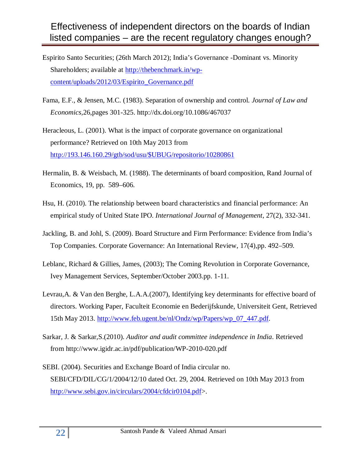- Espirito Santo Securities; (26th March 2012); India's Governance -Dominant vs. Minority Shareholders; available at http://thebenchmark.in/wpcontent/uploads/2012/03/Espirito\_Governance.pdf
- Fama, E.F., & Jensen, M.C. (1983). Separation of ownership and control. *Journal of Law and Economics,*26,pages 301-325. http://dx.doi.org/10.1086/467037
- Heracleous, L. (2001). What is the impact of corporate governance on organizational performance? Retrieved on 10th May 2013 from http://193.146.160.29/gtb/sod/usu/\$UBUG/repositorio/10280861
- Hermalin, B. & Weisbach, M. (1988). The determinants of board composition, Rand Journal of Economics, 19, pp. 589–606.
- Hsu, H. (2010). The relationship between board characteristics and financial performance: An empirical study of United State IPO. *International Journal of Management*, 27(2), 332-341.
- Jackling, B. and Johl, S. (2009). Board Structure and Firm Performance: Evidence from India's Top Companies. Corporate Governance: An International Review, 17(4),pp. 492–509.
- Leblanc, Richard & Gillies, James, (2003); The Coming Revolution in Corporate Governance, Ivey Management Services, September/October 2003.pp. 1-11.
- Levrau,A. & Van den Berghe, L.A.A.(2007), Identifying key determinants for effective board of directors. Working Paper, Faculteit Economie en Bederijfskunde, Universiteit Gent, Retrieved 15th May 2013. http://www.feb.ugent.be/nl/Ondz/wp/Papers/wp\_07\_447.pdf.
- Sarkar, J. & Sarkar,S.(2010). *Auditor and audit committee independence in India*. Retrieved from http://www.igidr.ac.in/pdf/publication/WP-2010-020.pdf
- SEBI. (2004). Securities and Exchange Board of India circular no. SEBI/CFD/DIL/CG/1/2004/12/10 dated Oct. 29, 2004. Retrieved on 10th May 2013 from http://www.sebi.gov.in/circulars/2004/cfdcir0104.pdf>.